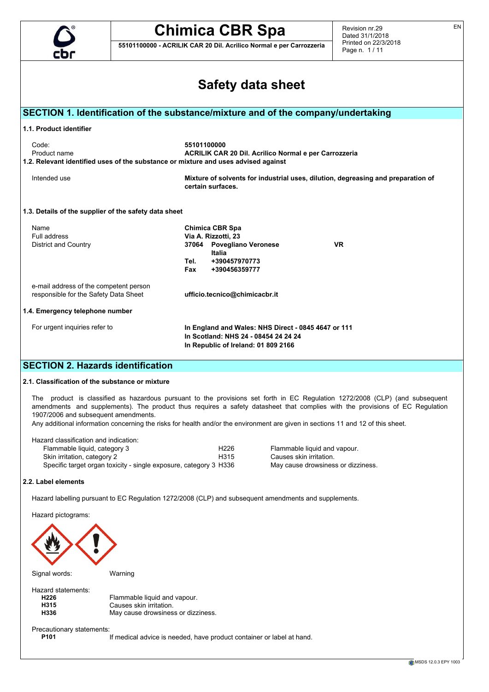

**55101100000 - ACRILIK CAR 20 Dil. Acrilico Normal e per Carrozzeria**

Revision nr.29 Dated 31/1/2018 Printed on 22/3/2018 Page n. 1 / 11

EN

| cbr                                                                                                                                                                       | гаус н. н. н. н.                                                                                                                                                                                                                                                                                                                                                                                 |  |  |  |  |  |
|---------------------------------------------------------------------------------------------------------------------------------------------------------------------------|--------------------------------------------------------------------------------------------------------------------------------------------------------------------------------------------------------------------------------------------------------------------------------------------------------------------------------------------------------------------------------------------------|--|--|--|--|--|
| <b>Safety data sheet</b>                                                                                                                                                  |                                                                                                                                                                                                                                                                                                                                                                                                  |  |  |  |  |  |
|                                                                                                                                                                           | SECTION 1. Identification of the substance/mixture and of the company/undertaking                                                                                                                                                                                                                                                                                                                |  |  |  |  |  |
| 1.1. Product identifier                                                                                                                                                   |                                                                                                                                                                                                                                                                                                                                                                                                  |  |  |  |  |  |
| Code:<br>Product name                                                                                                                                                     | 55101100000<br>ACRILIK CAR 20 Dil. Acrilico Normal e per Carrozzeria<br>1.2. Relevant identified uses of the substance or mixture and uses advised against                                                                                                                                                                                                                                       |  |  |  |  |  |
| Intended use                                                                                                                                                              | Mixture of solvents for industrial uses, dilution, degreasing and preparation of<br>certain surfaces.                                                                                                                                                                                                                                                                                            |  |  |  |  |  |
| 1.3. Details of the supplier of the safety data sheet                                                                                                                     |                                                                                                                                                                                                                                                                                                                                                                                                  |  |  |  |  |  |
| Name<br>Full address<br>District and Country                                                                                                                              | Chimica CBR Spa<br>Via A. Rizzotti, 23<br><b>VR</b><br>37064 Povegliano Veronese<br>Italia<br>+390457970773<br>Tel.<br>Fax<br>+390456359777                                                                                                                                                                                                                                                      |  |  |  |  |  |
| e-mail address of the competent person<br>responsible for the Safety Data Sheet                                                                                           | ufficio.tecnico@chimicacbr.it                                                                                                                                                                                                                                                                                                                                                                    |  |  |  |  |  |
| 1.4. Emergency telephone number                                                                                                                                           |                                                                                                                                                                                                                                                                                                                                                                                                  |  |  |  |  |  |
| For urgent inquiries refer to                                                                                                                                             | In England and Wales: NHS Direct - 0845 4647 or 111<br>In Scotland: NHS 24 - 08454 24 24 24<br>In Republic of Ireland: 01 809 2166                                                                                                                                                                                                                                                               |  |  |  |  |  |
| <b>SECTION 2. Hazards identification</b>                                                                                                                                  |                                                                                                                                                                                                                                                                                                                                                                                                  |  |  |  |  |  |
| 2.1. Classification of the substance or mixture                                                                                                                           |                                                                                                                                                                                                                                                                                                                                                                                                  |  |  |  |  |  |
| 1907/2006 and subsequent amendments.                                                                                                                                      | The product is classified as hazardous pursuant to the provisions set forth in EC Regulation 1272/2008 (CLP) (and subsequent<br>amendments and supplements). The product thus requires a safety datasheet that complies with the provisions of EC Regulation<br>Any additional information concerning the risks for health and/or the environment are given in sections 11 and 12 of this sheet. |  |  |  |  |  |
| Hazard classification and indication:<br>Flammable liquid, category 3<br>Skin irritation, category 2<br>Specific target organ toxicity - single exposure, category 3 H336 | H <sub>226</sub><br>Flammable liquid and vapour.<br>H315<br>Causes skin irritation.<br>May cause drowsiness or dizziness.                                                                                                                                                                                                                                                                        |  |  |  |  |  |
| 2.2. Label elements                                                                                                                                                       |                                                                                                                                                                                                                                                                                                                                                                                                  |  |  |  |  |  |
|                                                                                                                                                                           | Hazard labelling pursuant to EC Regulation 1272/2008 (CLP) and subsequent amendments and supplements.                                                                                                                                                                                                                                                                                            |  |  |  |  |  |
| Hazard pictograms:                                                                                                                                                        |                                                                                                                                                                                                                                                                                                                                                                                                  |  |  |  |  |  |
|                                                                                                                                                                           |                                                                                                                                                                                                                                                                                                                                                                                                  |  |  |  |  |  |
|                                                                                                                                                                           |                                                                                                                                                                                                                                                                                                                                                                                                  |  |  |  |  |  |
|                                                                                                                                                                           |                                                                                                                                                                                                                                                                                                                                                                                                  |  |  |  |  |  |
|                                                                                                                                                                           |                                                                                                                                                                                                                                                                                                                                                                                                  |  |  |  |  |  |

Signal words: Warning

Hazard statements:<br>H226 **H226** Flammable liquid and vapour.<br> **H315** Causes skin irritation. **H315** Causes skin irritation.<br>**H336** May cause drowsines: May cause drowsiness or dizziness.

Precautionary statements:<br>P101

If medical advice is needed, have product container or label at hand.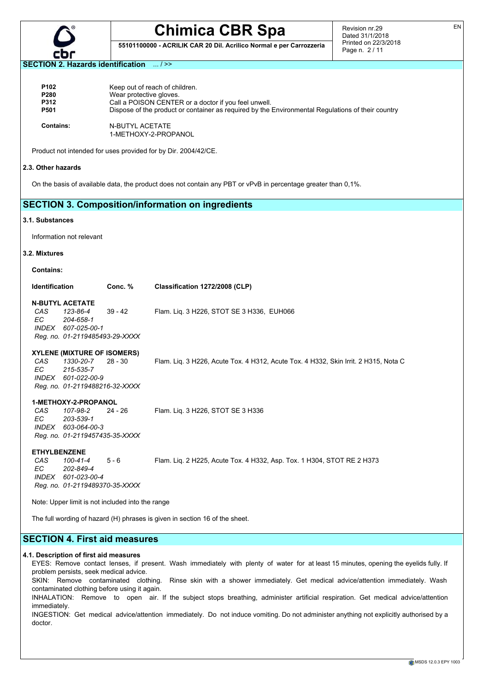

**55101100000 - ACRILIK CAR 20 Dil. Acrilico Normal e per Carrozzeria**

Revision nr.29 Dated 31/1/2018 Printed on 22/3/2018 Page n. 2 / 11

#### **SECTION 2. Hazards identification** ... / >>

| P <sub>102</sub> | Keep out of reach of children.                                                                    |
|------------------|---------------------------------------------------------------------------------------------------|
| P280             | Wear protective gloves.                                                                           |
| <b>P312</b>      | Call a POISON CENTER or a doctor if you feel unwell.                                              |
| P501             | Dispose of the product or container as required by the Environmental Regulations of their country |
| <b>Contains:</b> | N-BUTYL ACETATE<br>1-METHOXY-2-PROPANOL                                                           |

Product not intended for uses provided for by Dir. 2004/42/CE.

#### **2.3. Other hazards**

On the basis of available data, the product does not contain any PBT or vPvB in percentage greater than 0,1%.

# **SECTION 3. Composition/information on ingredients**

#### **3.1. Substances**

Information not relevant

#### **3.2. Mixtures**

**Contains:**

| <b>Identification</b> |                                | Conc. % | Classification 1272/2008 (CLP)            |
|-----------------------|--------------------------------|---------|-------------------------------------------|
|                       | <b>N-BUTYL ACETATE</b>         |         |                                           |
| CAS                   | 123-86-4                       | 39 - 42 | Flam. Lig. 3 H226, STOT SE 3 H336, EUH066 |
| FC.                   | 204-658-1                      |         |                                           |
|                       | INDEX 607-025-00-1             |         |                                           |
|                       | Reg. no. 01-2119485493-29-XXXX |         |                                           |
|                       |                                |         |                                           |

#### **XYLENE (MIXTURE OF ISOMERS)**

*CAS 1330-20-7* 28 - 30 Flam. Liq. 3 H226, Acute Tox. 4 H312, Acute Tox. 4 H332, Skin Irrit. 2 H315, Nota C *EC 215-535-7 INDEX 601-022-00-9 Reg. no. 01-2119488216-32-XXXX*

### **1-METHOXY-2-PROPANOL**

*CAS 107-98-2* 24 - 26 Flam. Liq. 3 H226, STOT SE 3 H336 *EC 203-539-1 INDEX 603-064-00-3 Reg. no. 01-2119457435-35-XXXX*

**ETHYLBENZENE**

*CAS 100-41-4* 5 - 6 Flam. Liq. 2 H225, Acute Tox. 4 H332, Asp. Tox. 1 H304, STOT RE 2 H373 *EC 202-849-4 INDEX 601-023-00-4 Reg. no. 01-2119489370-35-XXXX*

Note: Upper limit is not included into the range

The full wording of hazard (H) phrases is given in section 16 of the sheet.

# **SECTION 4. First aid measures**

#### **4.1. Description of first aid measures**

EYES: Remove contact lenses, if present. Wash immediately with plenty of water for at least 15 minutes, opening the eyelids fully. If problem persists, seek medical advice.

SKIN: Remove contaminated clothing. Rinse skin with a shower immediately. Get medical advice/attention immediately. Wash contaminated clothing before using it again.

INHALATION: Remove to open air. If the subject stops breathing, administer artificial respiration. Get medical advice/attention immediately.

INGESTION: Get medical advice/attention immediately. Do not induce vomiting. Do not administer anything not explicitly authorised by a doctor.

EN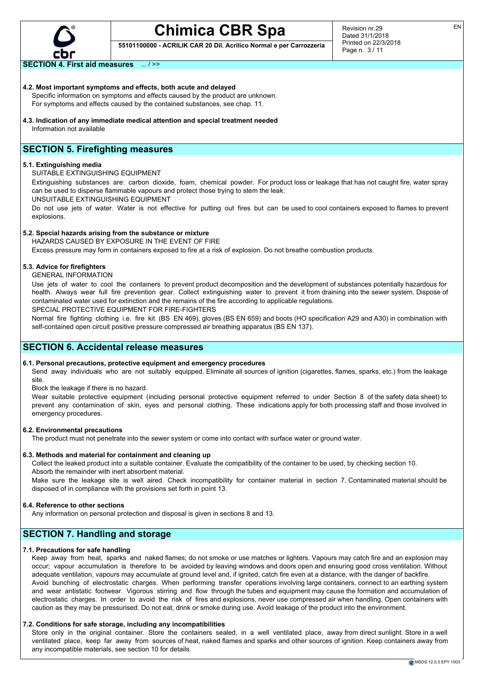

**55101100000 - ACRILIK CAR 20 Dil. Acrilico Normal e per Carrozzeria**

**SECTION 4. First aid measures** ... / >>

## **4.2. Most important symptoms and effects, both acute and delayed**

Specific information on symptoms and effects caused by the product are unknown. For symptoms and effects caused by the contained substances, see chap. 11.

**4.3. Indication of any immediate medical attention and special treatment needed** Information not available

# **SECTION 5. Firefighting measures**

### **5.1. Extinguishing media**

SUITABLE EXTINGUISHING EQUIPMENT

Extinguishing substances are: carbon dioxide, foam, chemical powder. For product loss or leakage that has not caught fire, water spray can be used to disperse flammable vapours and protect those trying to stem the leak.

UNSUITABLE EXTINGUISHING EQUIPMENT

Do not use jets of water. Water is not effective for putting out fires but can be used to cool containers exposed to flames to prevent explosions.

## **5.2. Special hazards arising from the substance or mixture**

HAZARDS CAUSED BY EXPOSURE IN THE EVENT OF FIRE

Excess pressure may form in containers exposed to fire at a risk of explosion. Do not breathe combustion products.

## **5.3. Advice for firefighters**

GENERAL INFORMATION

Use jets of water to cool the containers to prevent product decomposition and the development of substances potentially hazardous for health. Always wear full fire prevention gear. Collect extinguishing water to prevent it from draining into the sewer system. Dispose of contaminated water used for extinction and the remains of the fire according to applicable regulations.

SPECIAL PROTECTIVE EQUIPMENT FOR FIRE-FIGHTERS

Normal fire fighting clothing i.e. fire kit (BS EN 469), gloves (BS EN 659) and boots (HO specification A29 and A30) in combination with self-contained open circuit positive pressure compressed air breathing apparatus (BS EN 137).

# **SECTION 6. Accidental release measures**

# **6.1. Personal precautions, protective equipment and emergency procedures**

Send away individuals who are not suitably equipped. Eliminate all sources of ignition (cigarettes, flames, sparks, etc.) from the leakage site.

Block the leakage if there is no hazard.

Wear suitable protective equipment (including personal protective equipment referred to under Section 8 of the safety data sheet) to prevent any contamination of skin, eyes and personal clothing. These indications apply for both processing staff and those involved in emergency procedures.

#### **6.2. Environmental precautions**

The product must not penetrate into the sewer system or come into contact with surface water or ground water.

## **6.3. Methods and material for containment and cleaning up**

Collect the leaked product into a suitable container. Evaluate the compatibility of the container to be used, by checking section 10. Absorb the remainder with inert absorbent material.

Make sure the leakage site is well aired. Check incompatibility for container material in section 7. Contaminated material should be disposed of in compliance with the provisions set forth in point 13.

#### **6.4. Reference to other sections**

Any information on personal protection and disposal is given in sections 8 and 13.

# **SECTION 7. Handling and storage**

# **7.1. Precautions for safe handling**

Keep away from heat, sparks and naked flames; do not smoke or use matches or lighters. Vapours may catch fire and an explosion may occur; vapour accumulation is therefore to be avoided by leaving windows and doors open and ensuring good cross ventilation. Without adequate ventilation, vapours may accumulate at ground level and, if ignited, catch fire even at a distance, with the danger of backfire. Avoid bunching of electrostatic charges. When performing transfer operations involving large containers, connect to an earthing system and wear antistatic footwear. Vigorous stirring and flow through the tubes and equipment may cause the formation and accumulation of electrostatic charges. In order to avoid the risk of fires and explosions, never use compressed air when handling. Open containers with caution as they may be pressurised. Do not eat, drink or smoke during use. Avoid leakage of the product into the environment.

## **7.2. Conditions for safe storage, including any incompatibilities**

Store only in the original container. Store the containers sealed, in a well ventilated place, away from direct sunlight. Store in a well ventilated place, keep far away from sources of heat, naked flames and sparks and other sources of ignition. Keep containers away from any incompatible materials, see section 10 for details.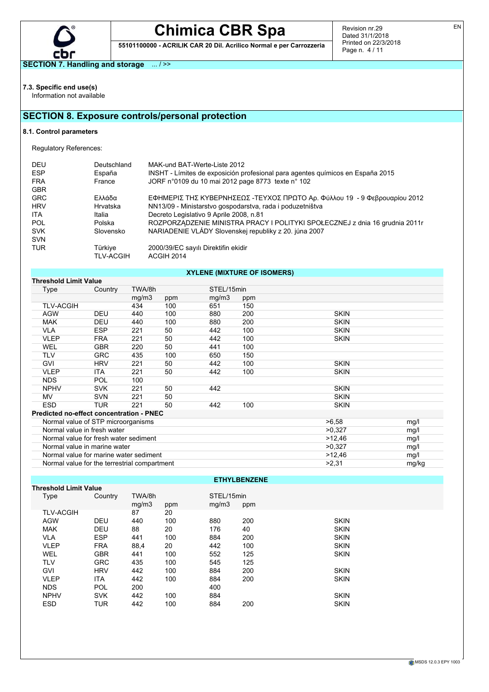

**55101100000 - ACRILIK CAR 20 Dil. Acrilico Normal e per Carrozzeria**

Revision nr.29 Dated 31/1/2018 Printed on 22/3/2018 Page n. 4 / 11

**SECTION 7. Handling and storage** ... / >>

**7.3. Specific end use(s)**

Information not available

# **SECTION 8. Exposure controls/personal protection**

# **8.1. Control parameters**

Regulatory References:

| Deutschland<br>España       | MAK-und BAT-Werte-Liste 2012<br>INSHT - Límites de exposición profesional para agentes químicos en España 2015 |
|-----------------------------|----------------------------------------------------------------------------------------------------------------|
|                             | JORF n°0109 du 10 mai 2012 page 8773 texte n° 102                                                              |
| Ελλάδα                      | ΕΦΗΜΕΡΙΣ ΤΗΣ ΚΥΒΕΡΝΗΣΕΩΣ -ΤΕΥΧΟΣ ΠΡΩΤΟ Αρ. Φύλλου 19 - 9 Φεβρουαρίου 2012                                      |
| Hrvatska                    | NN13/09 - Ministarstvo gospodarstva, rada i poduzetništva                                                      |
| Italia                      | Decreto Legislativo 9 Aprile 2008, n.81                                                                        |
| Polska                      | ROZPORZĄDZENIE MINISTRA PRACY I POLITYKI SPOŁECZNEJ z dnia 16 grudnia 2011r                                    |
| Slovensko                   | NARIADENIE VLÁDY Slovenskej republiky z 20. júna 2007                                                          |
|                             |                                                                                                                |
| Türkiye<br><b>TLV-ACGIH</b> | 2000/39/EC sayılı Direktifin ekidir<br>ACGIH 2014                                                              |
|                             | France                                                                                                         |

# **XYLENE (MIXTURE OF ISOMERS)**

| <b>Threshold Limit Value</b>                    |            |        |      |            |     |             |       |
|-------------------------------------------------|------------|--------|------|------------|-----|-------------|-------|
| Type                                            | Country    | TWA/8h |      | STEL/15min |     |             |       |
|                                                 |            | mg/m3  | ppm  | mg/m3      | ppm |             |       |
| <b>TLV-ACGIH</b>                                |            | 434    | 100  | 651        | 150 |             |       |
| <b>AGW</b>                                      | <b>DEU</b> | 440    | 100  | 880        | 200 | <b>SKIN</b> |       |
| <b>MAK</b>                                      | <b>DEU</b> | 440    | 100  | 880        | 200 | <b>SKIN</b> |       |
| <b>VLA</b>                                      | <b>ESP</b> | 221    | 50   | 442        | 100 | <b>SKIN</b> |       |
| <b>VLEP</b>                                     | <b>FRA</b> | 221    | 50   | 442        | 100 | <b>SKIN</b> |       |
| WEL                                             | <b>GBR</b> | 220    | 50   | 441        | 100 |             |       |
| <b>TLV</b>                                      | GRC        | 435    | 100  | 650        | 150 |             |       |
| <b>GVI</b>                                      | <b>HRV</b> | 221    | 50   | 442        | 100 | <b>SKIN</b> |       |
| <b>VLEP</b>                                     | <b>ITA</b> | 221    | 50   | 442        | 100 | <b>SKIN</b> |       |
| <b>NDS</b>                                      | <b>POL</b> | 100    |      |            |     |             |       |
| <b>NPHV</b>                                     | <b>SVK</b> | 221    | 50   | 442        |     | <b>SKIN</b> |       |
| MV.                                             | <b>SVN</b> | 221    | 50   |            |     | <b>SKIN</b> |       |
| <b>ESD</b>                                      | TUR        | 221    | 50   | 442        | 100 | <b>SKIN</b> |       |
| <b>Predicted no-effect concentration - PNEC</b> |            |        |      |            |     |             |       |
| Normal value of STP microorganisms              |            |        |      |            |     | >6.58       | mg/l  |
| Normal value in fresh water                     |            |        |      |            |     | >0.327      | mg/l  |
| Normal value for fresh water sediment           |            | >12,46 | mg/l |            |     |             |       |
| Normal value in marine water                    |            | >0.327 | mg/l |            |     |             |       |
| Normal value for marine water sediment          |            |        |      |            |     | >12,46      | mg/l  |
| Normal value for the terrestrial compartment    |            |        |      |            |     | >2,31       | mg/kg |

# **ETHYLBENZENE**

|                                                                                                                                                                         | <b>Threshold Limit Value</b> |     |       |     |             |  |  |  |  |
|-------------------------------------------------------------------------------------------------------------------------------------------------------------------------|------------------------------|-----|-------|-----|-------------|--|--|--|--|
| Country                                                                                                                                                                 | TWA/8h                       |     |       |     |             |  |  |  |  |
|                                                                                                                                                                         | mq/m3                        | ppm | mq/m3 | ppm |             |  |  |  |  |
|                                                                                                                                                                         | 87                           | 20  |       |     |             |  |  |  |  |
| <b>DEU</b>                                                                                                                                                              | 440                          | 100 | 880   | 200 | <b>SKIN</b> |  |  |  |  |
| <b>DEU</b>                                                                                                                                                              | 88                           | 20  | 176   | 40  | <b>SKIN</b> |  |  |  |  |
| <b>ESP</b>                                                                                                                                                              | 441                          | 100 | 884   | 200 | <b>SKIN</b> |  |  |  |  |
| <b>FRA</b>                                                                                                                                                              | 88.4                         | 20  | 442   | 100 | <b>SKIN</b> |  |  |  |  |
| <b>GBR</b>                                                                                                                                                              | 441                          | 100 | 552   | 125 | <b>SKIN</b> |  |  |  |  |
| <b>GRC</b>                                                                                                                                                              | 435                          | 100 | 545   | 125 |             |  |  |  |  |
| <b>HRV</b>                                                                                                                                                              | 442                          | 100 | 884   | 200 | <b>SKIN</b> |  |  |  |  |
| <b>ITA</b>                                                                                                                                                              | 442                          | 100 | 884   | 200 | <b>SKIN</b> |  |  |  |  |
| POL                                                                                                                                                                     | 200                          |     | 400   |     |             |  |  |  |  |
| <b>SVK</b>                                                                                                                                                              | 442                          | 100 | 884   |     | <b>SKIN</b> |  |  |  |  |
| TUR                                                                                                                                                                     | 442                          | 100 | 884   | 200 | <b>SKIN</b> |  |  |  |  |
| Type<br><b>TLV-ACGIH</b><br><b>AGW</b><br><b>MAK</b><br><b>VLA</b><br><b>VLEP</b><br>WEL<br><b>TLV</b><br>GVI<br><b>VLEP</b><br><b>NDS</b><br><b>NPHV</b><br><b>ESD</b> |                              |     |       |     | STEL/15min  |  |  |  |  |

EN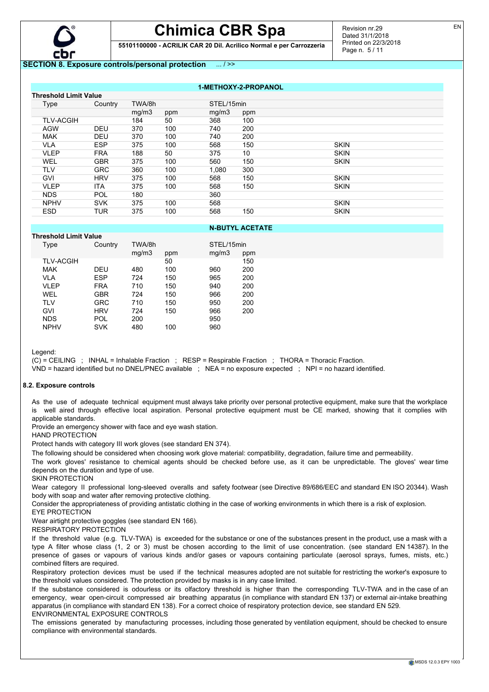

**55101100000 - ACRILIK CAR 20 Dil. Acrilico Normal e per Carrozzeria**

# **SECTION 8. Exposure controls/personal protection** ... / >>

**1-METHOXY-2-PROPANOL**

| <b>Threshold Limit Value</b> |            |        |     |            |     |             |
|------------------------------|------------|--------|-----|------------|-----|-------------|
| Type                         | Country    | TWA/8h |     | STEL/15min |     |             |
|                              |            | mg/m3  | ppm | mq/m3      | ppm |             |
| <b>TLV-ACGIH</b>             |            | 184    | 50  | 368        | 100 |             |
| <b>AGW</b>                   | <b>DEU</b> | 370    | 100 | 740        | 200 |             |
| <b>MAK</b>                   | <b>DEU</b> | 370    | 100 | 740        | 200 |             |
| <b>VLA</b>                   | <b>ESP</b> | 375    | 100 | 568        | 150 | <b>SKIN</b> |
| <b>VLEP</b>                  | <b>FRA</b> | 188    | 50  | 375        | 10  | <b>SKIN</b> |
| <b>WEL</b>                   | <b>GBR</b> | 375    | 100 | 560        | 150 | <b>SKIN</b> |
| <b>TLV</b>                   | <b>GRC</b> | 360    | 100 | 1.080      | 300 |             |
| <b>GVI</b>                   | <b>HRV</b> | 375    | 100 | 568        | 150 | <b>SKIN</b> |
| <b>VLEP</b>                  | <b>ITA</b> | 375    | 100 | 568        | 150 | <b>SKIN</b> |
| <b>NDS</b>                   | POL        | 180    |     | 360        |     |             |
| <b>NPHV</b>                  | <b>SVK</b> | 375    | 100 | 568        |     | <b>SKIN</b> |
| <b>ESD</b>                   | TUR        | 375    | 100 | 568        | 150 | <b>SKIN</b> |

# **N-BUTYL ACETATE**

| <b>Threshold Limit Value</b> |            |                 |     |                     |     |
|------------------------------|------------|-----------------|-----|---------------------|-----|
| Type                         | Country    | TWA/8h<br>mg/m3 | ppm | STEL/15min<br>mq/m3 | ppm |
| <b>TLV-ACGIH</b>             |            |                 | 50  |                     | 150 |
| <b>MAK</b>                   | DEU        | 480             | 100 | 960                 | 200 |
| VLA                          | ESP        | 724             | 150 | 965                 | 200 |
| VLEP                         | <b>FRA</b> | 710             | 150 | 940                 | 200 |
| WEL                          | GBR        | 724             | 150 | 966                 | 200 |
| <b>TLV</b>                   | GRC        | 710             | 150 | 950                 | 200 |
| <b>GVI</b>                   | <b>HRV</b> | 724             | 150 | 966                 | 200 |
| <b>NDS</b>                   | POL        | 200             |     | 950                 |     |
| <b>NPHV</b>                  | SVK        | 480             | 100 | 960                 |     |
|                              |            |                 |     |                     |     |

Legend:

(C) = CEILING ; INHAL = Inhalable Fraction ; RESP = Respirable Fraction ; THORA = Thoracic Fraction.

VND = hazard identified but no DNEL/PNEC available ; NEA = no exposure expected ; NPI = no hazard identified.

#### **8.2. Exposure controls**

As the use of adequate technical equipment must always take priority over personal protective equipment, make sure that the workplace is well aired through effective local aspiration. Personal protective equipment must be CE marked, showing that it complies with applicable standards.

Provide an emergency shower with face and eye wash station.

HAND PROTECTION

Protect hands with category III work gloves (see standard EN 374).

The following should be considered when choosing work glove material: compatibility, degradation, failure time and permeability.

The work gloves' resistance to chemical agents should be checked before use, as it can be unpredictable. The gloves' wear time depends on the duration and type of use.

SKIN PROTECTION

Wear category II professional long-sleeved overalls and safety footwear (see Directive 89/686/EEC and standard EN ISO 20344). Wash body with soap and water after removing protective clothing.

Consider the appropriateness of providing antistatic clothing in the case of working environments in which there is a risk of explosion. EYE PROTECTION

Wear airtight protective goggles (see standard EN 166).

RESPIRATORY PROTECTION

If the threshold value (e.g. TLV-TWA) is exceeded for the substance or one of the substances present in the product, use a mask with a type A filter whose class (1, 2 or 3) must be chosen according to the limit of use concentration. (see standard EN 14387). In the presence of gases or vapours of various kinds and/or gases or vapours containing particulate (aerosol sprays, fumes, mists, etc.) combined filters are required.

Respiratory protection devices must be used if the technical measures adopted are not suitable for restricting the worker's exposure to the threshold values considered. The protection provided by masks is in any case limited.

If the substance considered is odourless or its olfactory threshold is higher than the corresponding TLV-TWA and in the case of an emergency, wear open-circuit compressed air breathing apparatus (in compliance with standard EN 137) or external air-intake breathing apparatus (in compliance with standard EN 138). For a correct choice of respiratory protection device, see standard EN 529. ENVIRONMENTAL EXPOSURE CONTROLS

The emissions generated by manufacturing processes, including those generated by ventilation equipment, should be checked to ensure compliance with environmental standards.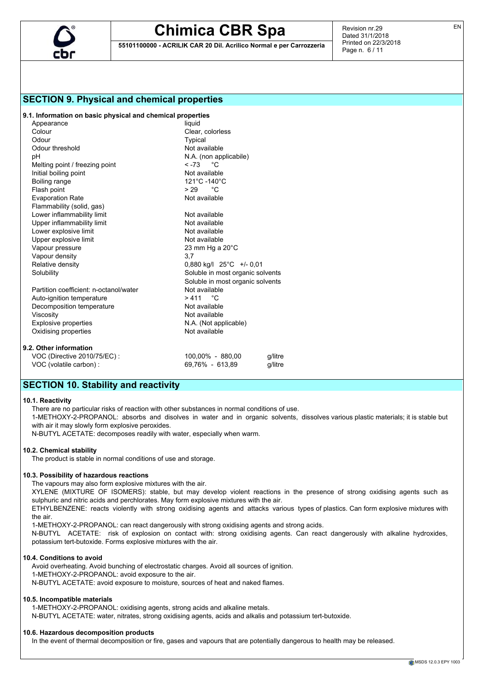

**55101100000 - ACRILIK CAR 20 Dil. Acrilico Normal e per Carrozzeria**

Revision nr.29 Dated 31/1/2018 Printed on 22/3/2018 Page n. 6 / 11

# **SECTION 9. Physical and chemical properties**

**9.1. Information on basic physical and chemical properties**

| Appearance                             | liquid                           |         |  |
|----------------------------------------|----------------------------------|---------|--|
| Colour                                 | Clear, colorless                 |         |  |
| Odour                                  | Typical                          |         |  |
| Odour threshold                        | Not available                    |         |  |
| рH                                     | N.A. (non applicabile)           |         |  |
| Melting point / freezing point         | $<-73$ °C                        |         |  |
| Initial boiling point                  | Not available                    |         |  |
| Boiling range                          | 121°C-140°C                      |         |  |
| Flash point                            | $> 29$ °C                        |         |  |
| <b>Evaporation Rate</b>                | Not available                    |         |  |
| Flammability (solid, gas)              |                                  |         |  |
| Lower inflammability limit             | Not available                    |         |  |
| Upper inflammability limit             | Not available                    |         |  |
| Lower explosive limit                  | Not available                    |         |  |
| Upper explosive limit                  | Not available                    |         |  |
| Vapour pressure                        | 23 mm Hg a $20^{\circ}$ C        |         |  |
| Vapour density                         | 3,7                              |         |  |
| Relative density                       | 0,880 kg/l 25°C +/- 0,01         |         |  |
| Solubility                             | Soluble in most organic solvents |         |  |
|                                        | Soluble in most organic solvents |         |  |
| Partition coefficient: n-octanol/water | Not available                    |         |  |
| Auto-ignition temperature              | $>411$ °C                        |         |  |
| Decomposition temperature              | Not available                    |         |  |
| Viscosity                              | Not available                    |         |  |
| <b>Explosive properties</b>            | N.A. (Not applicable)            |         |  |
| Oxidising properties                   | Not available                    |         |  |
| 9.2. Other information                 |                                  |         |  |
| VOC (Directive 2010/75/EC):            | 100,00% - 880,00                 | q/litre |  |
| VOC (volatile carbon) :                | 69.76% - 613.89                  | a/litre |  |

# **SECTION 10. Stability and reactivity**

#### **10.1. Reactivity**

There are no particular risks of reaction with other substances in normal conditions of use.

1-METHOXY-2-PROPANOL: absorbs and disolves in water and in organic solvents, dissolves various plastic materials; it is stable but with air it may slowly form explosive peroxides.

N-BUTYL ACETATE: decomposes readily with water, especially when warm.

#### **10.2. Chemical stability**

The product is stable in normal conditions of use and storage.

## **10.3. Possibility of hazardous reactions**

The vapours may also form explosive mixtures with the air.

XYLENE (MIXTURE OF ISOMERS): stable, but may develop violent reactions in the presence of strong oxidising agents such as sulphuric and nitric acids and perchlorates. May form explosive mixtures with the air.

ETHYLBENZENE: reacts violently with strong oxidising agents and attacks various types of plastics. Can form explosive mixtures with the air.

1-METHOXY-2-PROPANOL: can react dangerously with strong oxidising agents and strong acids.

N-BUTYL ACETATE: risk of explosion on contact with: strong oxidising agents. Can react dangerously with alkaline hydroxides, potassium tert-butoxide. Forms explosive mixtures with the air.

#### **10.4. Conditions to avoid**

Avoid overheating. Avoid bunching of electrostatic charges. Avoid all sources of ignition. 1-METHOXY-2-PROPANOL: avoid exposure to the air. N-BUTYL ACETATE: avoid exposure to moisture, sources of heat and naked flames.

#### **10.5. Incompatible materials**

1-METHOXY-2-PROPANOL: oxidising agents, strong acids and alkaline metals.

N-BUTYL ACETATE: water, nitrates, strong oxidising agents, acids and alkalis and potassium tert-butoxide.

#### **10.6. Hazardous decomposition products**

In the event of thermal decomposition or fire, gases and vapours that are potentially dangerous to health may be released.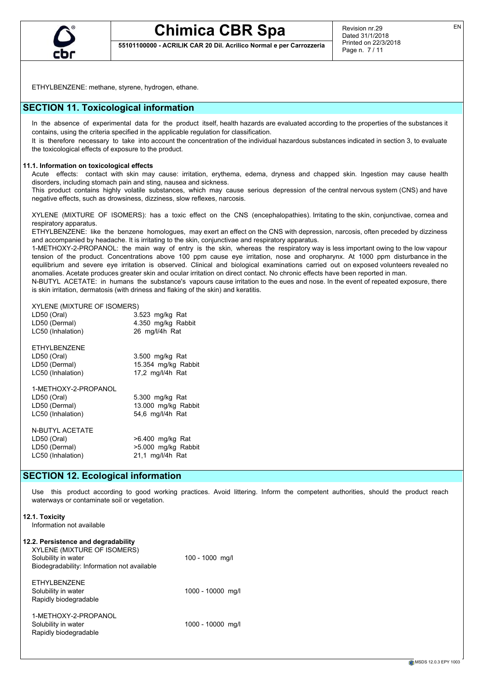

**55101100000 - ACRILIK CAR 20 Dil. Acrilico Normal e per Carrozzeria**

ETHYLBENZENE: methane, styrene, hydrogen, ethane.

# **SECTION 11. Toxicological information**

In the absence of experimental data for the product itself, health hazards are evaluated according to the properties of the substances it contains, using the criteria specified in the applicable regulation for classification.

It is therefore necessary to take into account the concentration of the individual hazardous substances indicated in section 3, to evaluate the toxicological effects of exposure to the product.

# **11.1. Information on toxicological effects**

Acute effects: contact with skin may cause: irritation, erythema, edema, dryness and chapped skin. Ingestion may cause health disorders, including stomach pain and sting, nausea and sickness.

This product contains highly volatile substances, which may cause serious depression of the central nervous system (CNS) and have negative effects, such as drowsiness, dizziness, slow reflexes, narcosis.

XYLENE (MIXTURE OF ISOMERS): has a toxic effect on the CNS (encephalopathies). Irritating to the skin, conjunctivae, cornea and respiratory apparatus.

ETHYLBENZENE: like the benzene homologues, may exert an effect on the CNS with depression, narcosis, often preceded by dizziness and accompanied by headache. It is irritating to the skin, conjunctivae and respiratory apparatus.

1-METHOXY-2-PROPANOL: the main way of entry is the skin, whereas the respiratory way is less important owing to the low vapour tension of the product. Concentrations above 100 ppm cause eye irritation, nose and oropharynx. At 1000 ppm disturbance in the equilibrium and severe eye irritation is observed. Clinical and biological examinations carried out on exposed volunteers revealed no anomalies. Acetate produces greater skin and ocular irritation on direct contact. No chronic effects have been reported in man.

N-BUTYL ACETATE: in humans the substance's vapours cause irritation to the eues and nose. In the event of repeated exposure, there is skin irritation, dermatosis (with driness and flaking of the skin) and keratitis.

## XYLENE (MIXTURE OF ISOMERS)

| LD50 (Oral)       | 3.523 mg/kg Rat    |
|-------------------|--------------------|
| LD50 (Dermal)     | 4.350 mg/kg Rabbit |
| LC50 (Inhalation) | 26 mg/l/4h Rat     |

ETHYLBENZENE<br>LD50 (Oral)

 $3.500$  mg/kg Rat LD50 (Dermal) 15.354 mg/kg Rabbit LC50 (Inhalation) 17,2 mg/l/4h Rat

1-METHOXY-2-PROPANOL LD50 (Oral) 5.300 mg/kg Rat LD50 (Dermal) 13.000 mg/kg Rabbit LC50 (Inhalation) 54,6 mg/l/4h Rat

N-BUTYL ACETATE LC50 (Inhalation) 21,1 mg/l/4h Rat

LD50 (Oral) >6.400 mg/kg Rat LD50 (Dermal) >5.000 mg/kg Rabbit

# **SECTION 12. Ecological information**

Use this product according to good working practices. Avoid littering. Inform the competent authorities, should the product reach waterways or contaminate soil or vegetation.

| 12.1. Toxicity<br>Information not available                                                                                              |                   |
|------------------------------------------------------------------------------------------------------------------------------------------|-------------------|
| 12.2. Persistence and degradability<br>XYLENE (MIXTURE OF ISOMERS)<br>Solubility in water<br>Biodegradability: Information not available | 100 - 1000 mg/l   |
| FTHYLBENZENE<br>Solubility in water<br>Rapidly biodegradable                                                                             | 1000 - 10000 mg/l |
| 1-MFTHOXY-2-PROPANOL<br>Solubility in water<br>Rapidly biodegradable                                                                     | 1000 - 10000 mg/l |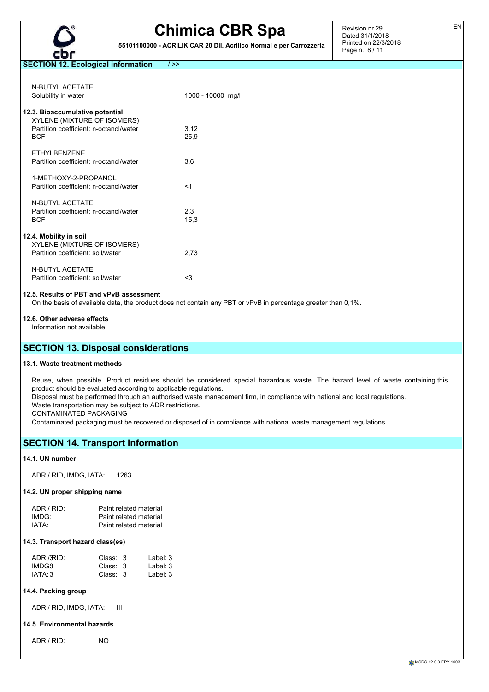

**55101100000 - ACRILIK CAR 20 Dil. Acrilico Normal e per Carrozzeria**

Revision nr.29 Dated 31/1/2018 Printed on 22/3/2018 Page n. 8 / 11

## **SECTION 12. Ecological information** ... / >>

| N-BUTYL ACFTATF<br>Solubility in water                                                                                 | 1000 - 10000 mg/l |
|------------------------------------------------------------------------------------------------------------------------|-------------------|
| 12.3. Bioaccumulative potential<br>XYLENE (MIXTURE OF ISOMERS)<br>Partition coefficient: n-octanol/water<br><b>BCF</b> | 3,12<br>25,9      |
| FTHYI BENZENE<br>Partition coefficient: n-octanol/water                                                                | 3,6               |
| 1-MFTHOXY-2-PROPANOL<br>Partition coefficient: n-octanol/water                                                         | $<$ 1             |
| N-RUTYL ACFTATF<br>Partition coefficient: n-octanol/water<br><b>BCF</b>                                                | 2,3<br>15,3       |
| 12.4. Mobility in soil<br>XYLENE (MIXTURE OF ISOMERS)<br>Partition coefficient: soil/water                             | 2,73              |
| <b>N-BUTYL ACETATE</b><br>Partition coefficient: soil/water                                                            | <3                |

### **12.5. Results of PBT and vPvB assessment**

On the basis of available data, the product does not contain any PBT or vPvB in percentage greater than 0,1%.

# **12.6. Other adverse effects**

Information not available

# **SECTION 13. Disposal considerations**

#### **13.1. Waste treatment methods**

Reuse, when possible. Product residues should be considered special hazardous waste. The hazard level of waste containing this product should be evaluated according to applicable regulations.

Disposal must be performed through an authorised waste management firm, in compliance with national and local regulations.

Waste transportation may be subject to ADR restrictions.

CONTAMINATED PACKAGING

Contaminated packaging must be recovered or disposed of in compliance with national waste management regulations.

# **SECTION 14. Transport information**

#### **14.1. UN number**

ADR / RID, IMDG, IATA: 1263

#### **14.2. UN proper shipping name**

| $ADR/RID+$        | Paint related material |
|-------------------|------------------------|
| IMDG:             | Paint related material |
| IATA <sup>.</sup> | Paint related material |

#### **14.3. Transport hazard class(es)**

| ADR / RID: | Class: 3 | Label: 3 |
|------------|----------|----------|
| IMDG3      | Class: 3 | Label: 3 |
| IATA: 3    | Class: 3 | Label: 3 |

# **14.4. Packing group**

ADR / RID, IMDG, IATA: III

#### **14.5. Environmental hazards**

ADR / RID: NO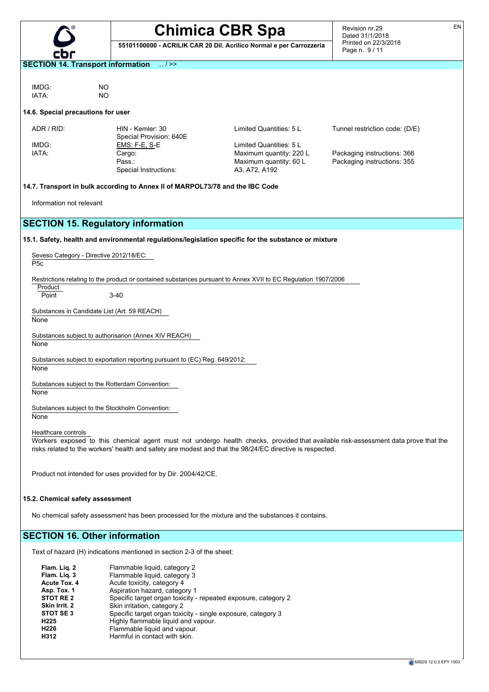**55101100000 - ACRILIK CAR 20 Dil. Acrilico Normal e per Carrozzeria**

Revision nr.29 Dated 31/1/2018 Printed on 22/3/2018 Page n. 9 / 11

**SECTION 14. Transport information** ... / >>

IMDG: NO<br>IATA: NO IATA:

# **14.6. Special precautions for user**

| ADR / RID:                                   | HIN - Kemler: 30<br>Special Provision: 640E                                                                    | Limited Quantities: 5 L | Tunnel restriction code: (D/E)                                                                                                     |
|----------------------------------------------|----------------------------------------------------------------------------------------------------------------|-------------------------|------------------------------------------------------------------------------------------------------------------------------------|
|                                              |                                                                                                                |                         |                                                                                                                                    |
| IMDG:                                        | <u>EMS: F-E, S-E</u>                                                                                           | Limited Quantities: 5 L |                                                                                                                                    |
| IATA:                                        | Cargo:                                                                                                         | Maximum quantity: 220 L | Packaging instructions: 366                                                                                                        |
|                                              | Pass.:                                                                                                         | Maximum quantity: 60 L  | Packaging instructions: 355                                                                                                        |
|                                              | Special Instructions:                                                                                          | A3, A72, A192           |                                                                                                                                    |
|                                              | 14.7. Transport in bulk according to Annex II of MARPOL73/78 and the IBC Code                                  |                         |                                                                                                                                    |
| Information not relevant                     |                                                                                                                |                         |                                                                                                                                    |
|                                              | <b>SECTION 15. Regulatory information</b>                                                                      |                         |                                                                                                                                    |
|                                              | 15.1. Safety, health and environmental regulations/legislation specific for the substance or mixture           |                         |                                                                                                                                    |
| Seveso Category - Directive 2012/18/EC:      |                                                                                                                |                         |                                                                                                                                    |
| P <sub>5</sub> c                             |                                                                                                                |                         |                                                                                                                                    |
|                                              | Restrictions relating to the product or contained substances pursuant to Annex XVII to EC Regulation 1907/2006 |                         |                                                                                                                                    |
| Product                                      |                                                                                                                |                         |                                                                                                                                    |
| Point                                        | $3 - 40$                                                                                                       |                         |                                                                                                                                    |
| Substances in Candidate List (Art. 59 REACH) |                                                                                                                |                         |                                                                                                                                    |
| None                                         |                                                                                                                |                         |                                                                                                                                    |
|                                              |                                                                                                                |                         |                                                                                                                                    |
|                                              | Substances subject to authorisarion (Annex XIV REACH)                                                          |                         |                                                                                                                                    |
| None                                         |                                                                                                                |                         |                                                                                                                                    |
|                                              | Substances subject to exportation reporting pursuant to (EC) Reg. 649/2012:                                    |                         |                                                                                                                                    |
| None                                         |                                                                                                                |                         |                                                                                                                                    |
|                                              | Substances subject to the Rotterdam Convention:                                                                |                         |                                                                                                                                    |
| None                                         |                                                                                                                |                         |                                                                                                                                    |
|                                              |                                                                                                                |                         |                                                                                                                                    |
|                                              | Substances subject to the Stockholm Convention:                                                                |                         |                                                                                                                                    |
| None                                         |                                                                                                                |                         |                                                                                                                                    |
|                                              |                                                                                                                |                         |                                                                                                                                    |
| Healthcare controls                          |                                                                                                                |                         |                                                                                                                                    |
|                                              |                                                                                                                |                         | Workers exposed to this chemical agent must not undergo health checks, provided that available risk-assessment data prove that the |
|                                              | risks related to the workers' health and safety are modest and that the 98/24/EC directive is respected.       |                         |                                                                                                                                    |
|                                              |                                                                                                                |                         |                                                                                                                                    |
|                                              |                                                                                                                |                         |                                                                                                                                    |
|                                              | Product not intended for uses provided for by Dir. 2004/42/CE.                                                 |                         |                                                                                                                                    |
|                                              |                                                                                                                |                         |                                                                                                                                    |
| 15.2. Chemical safety assessment             |                                                                                                                |                         |                                                                                                                                    |
|                                              |                                                                                                                |                         |                                                                                                                                    |
|                                              | No chemical safety assessment has been processed for the mixture and the substances it contains.               |                         |                                                                                                                                    |
|                                              |                                                                                                                |                         |                                                                                                                                    |
|                                              |                                                                                                                |                         |                                                                                                                                    |
| <b>SECTION 16. Other information</b>         |                                                                                                                |                         |                                                                                                                                    |
|                                              | Text of hazard (H) indications mentioned in section 2-3 of the sheet:                                          |                         |                                                                                                                                    |
|                                              |                                                                                                                |                         |                                                                                                                                    |

| Flam. Lig. 2         | Flammable liquid, category 2                                   |
|----------------------|----------------------------------------------------------------|
| Flam. Lig. 3         | Flammable liquid, category 3                                   |
| Acute Tox. 4         | Acute toxicity, category 4                                     |
| Asp. Tox. 1          | Aspiration hazard, category 1                                  |
| STOT RE <sub>2</sub> | Specific target organ toxicity - repeated exposure, category 2 |
| Skin Irrit. 2        | Skin irritation, category 2                                    |
| STOT SE3             | Specific target organ toxicity - single exposure, category 3   |
| H <sub>225</sub>     | Highly flammable liquid and vapour.                            |
| H <sub>226</sub>     | Flammable liquid and vapour.                                   |
| H312                 | Harmful in contact with skin.                                  |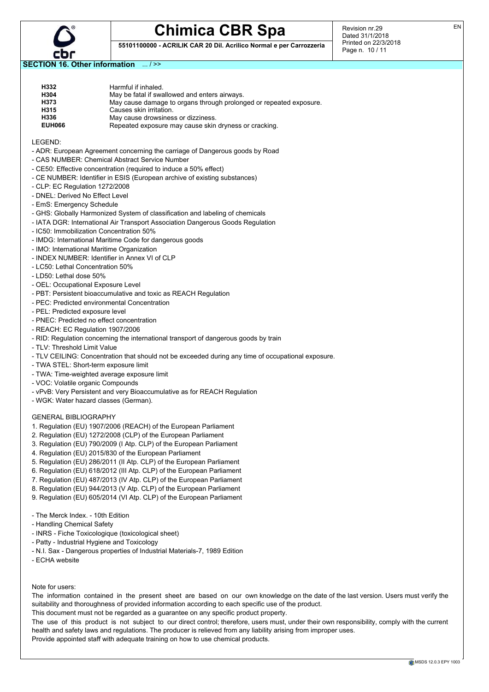

**55101100000 - ACRILIK CAR 20 Dil. Acrilico Normal e per Carrozzeria**

Revision nr.29 Dated 31/1/2018 Printed on 22/3/2018 Page n. 10 / 11

**SECTION 16. Other information** ... / >>

| H332          | Harmful if inhaled.                                                |
|---------------|--------------------------------------------------------------------|
| H304          | May be fatal if swallowed and enters airways.                      |
| H373          | May cause damage to organs through prolonged or repeated exposure. |
| H315          | Causes skin irritation.                                            |
| H336          | May cause drowsiness or dizziness.                                 |
| <b>EUH066</b> | Repeated exposure may cause skin dryness or cracking.              |
|               |                                                                    |

LEGEND:

- ADR: European Agreement concerning the carriage of Dangerous goods by Road
- CAS NUMBER: Chemical Abstract Service Number
- CE50: Effective concentration (required to induce a 50% effect)
- CE NUMBER: Identifier in ESIS (European archive of existing substances)
- CLP: EC Regulation 1272/2008
- DNEL: Derived No Effect Level
- EmS: Emergency Schedule
- GHS: Globally Harmonized System of classification and labeling of chemicals
- IATA DGR: International Air Transport Association Dangerous Goods Regulation
- IC50: Immobilization Concentration 50%
- IMDG: International Maritime Code for dangerous goods
- IMO: International Maritime Organization
- INDEX NUMBER: Identifier in Annex VI of CLP
- LC50: Lethal Concentration 50%
- LD50: Lethal dose 50%
- OEL: Occupational Exposure Level
- PBT: Persistent bioaccumulative and toxic as REACH Regulation
- PEC: Predicted environmental Concentration
- PEL: Predicted exposure level
- PNEC: Predicted no effect concentration
- REACH: EC Regulation 1907/2006
- RID: Regulation concerning the international transport of dangerous goods by train
- TLV: Threshold Limit Value
- TLV CEILING: Concentration that should not be exceeded during any time of occupational exposure.
- TWA STEL: Short-term exposure limit
- TWA: Time-weighted average exposure limit
- VOC: Volatile organic Compounds
- vPvB: Very Persistent and very Bioaccumulative as for REACH Regulation
- WGK: Water hazard classes (German).

#### GENERAL BIBLIOGRAPHY

- 1. Regulation (EU) 1907/2006 (REACH) of the European Parliament
- 2. Regulation (EU) 1272/2008 (CLP) of the European Parliament
- 3. Regulation (EU) 790/2009 (I Atp. CLP) of the European Parliament
- 4. Regulation (EU) 2015/830 of the European Parliament
- 5. Regulation (EU) 286/2011 (II Atp. CLP) of the European Parliament
- 6. Regulation (EU) 618/2012 (III Atp. CLP) of the European Parliament
- 7. Regulation (EU) 487/2013 (IV Atp. CLP) of the European Parliament
- 8. Regulation (EU) 944/2013 (V Atp. CLP) of the European Parliament
- 9. Regulation (EU) 605/2014 (VI Atp. CLP) of the European Parliament
- The Merck Index. 10th Edition
- Handling Chemical Safety
- INRS Fiche Toxicologique (toxicological sheet)
- Patty Industrial Hygiene and Toxicology
- N.I. Sax Dangerous properties of Industrial Materials-7, 1989 Edition
- ECHA website

Note for users:

The information contained in the present sheet are based on our own knowledge on the date of the last version. Users must verify the suitability and thoroughness of provided information according to each specific use of the product.

This document must not be regarded as a guarantee on any specific product property.

The use of this product is not subject to our direct control; therefore, users must, under their own responsibility, comply with the current health and safety laws and regulations. The producer is relieved from any liability arising from improper uses.

Provide appointed staff with adequate training on how to use chemical products.